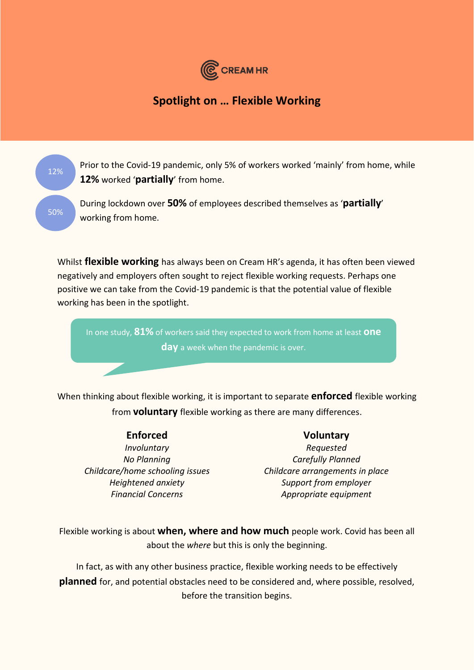

# **Spotlight on … Flexible Working**

Prior to the Covid-19 pandemic, only 5% of workers worked 'mainly' from home, while **12%** worked '**partially**' from home.

During lockdown over **50%** of employees described themselves as '**partially**' working from home.

Whilst **flexible working** has always been on Cream HR's agenda, it has often been viewed negatively and employers often sought to reject flexible working requests. Perhaps one positive we can take from the Covid-19 pandemic is that the potential value of flexible working has been in the spotlight.

In one study, **81%** of workers said they expected to work from home at least **one day** a week when the pandemic is over.

When thinking about flexible working, it is important to separate **enforced** flexible working from **voluntary** flexible working as there are many differences.

12%

50%

# **Enforced Voluntary**

*Involuntary Requested No Planning Carefully Planned Childcare/home schooling issues Childcare arrangements in place Heightened anxiety Support from employer Financial Concerns Appropriate equipment* 

Flexible working is about **when, where and how much** people work. Covid has been all about the *where* but this is only the beginning.

In fact, as with any other business practice, flexible working needs to be effectively **planned** for, and potential obstacles need to be considered and, where possible, resolved, before the transition begins.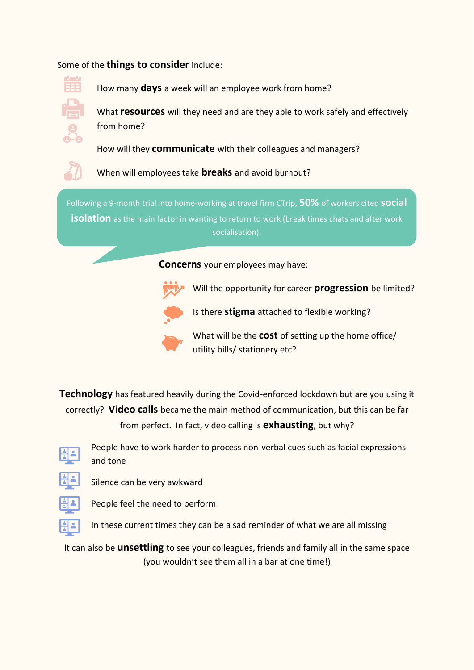## Some of the **things to consider** include:



How many **days** a week will an employee work from home?

What **resources** will they need and are they able to work safely and effectively from home?

How will they **communicate** with their colleagues and managers?



When will employees take **breaks** and avoid burnout?

How will they maintain and healthy work/life **balance**? Following a 9-month trial into home-working at travel firm CTrip, **50%** of workers cited **social isolation** as the main factor in wanting to return to work (break times chats and after work socialisation).

**Concerns** your employees may have:



Will the opportunity for career **progression** be limited?



What will be the **cost** of setting up the home office/ utility bills/ stationery etc?

Is there **stigma** attached to flexible working?

**Technology** has featured heavily during the Covid-enforced lockdown but are you using it correctly? **Video calls** became the main method of communication, but this can be far from perfect. In fact, video calling is **exhausting**, but why?



People have to work harder to process non-verbal cues such as facial expressions and tone



Silence can be very awkward



People feel the need to perform

In these current times they can be a sad reminder of what we are all missing

It can also be **unsettling** to see your colleagues, friends and family all in the same space (you wouldn't see them all in a bar at one time!)